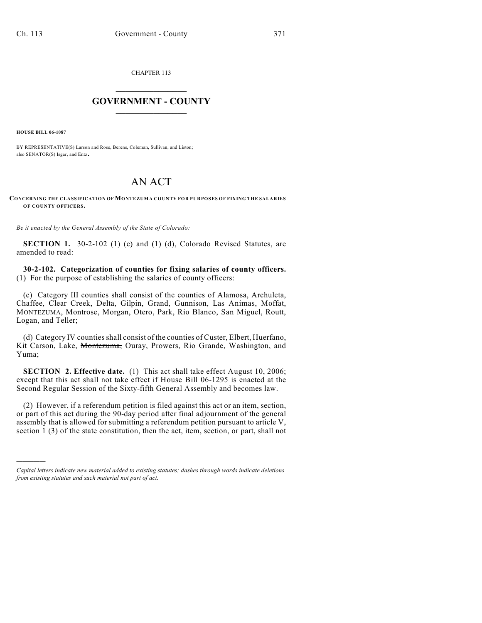CHAPTER 113

## $\mathcal{L}_\text{max}$  . The set of the set of the set of the set of the set of the set of the set of the set of the set of the set of the set of the set of the set of the set of the set of the set of the set of the set of the set **GOVERNMENT - COUNTY**  $\_$

**HOUSE BILL 06-1087**

)))))

BY REPRESENTATIVE(S) Larson and Rose, Berens, Coleman, Sullivan, and Liston; also SENATOR(S) Isgar, and Entz.

## AN ACT

## **CONCERNING THE CLASSIFICATION OF MONTEZUMA COUNTY FOR PURPOSES OF FIXING THE SALARIES OF COUNTY OFFICERS.**

*Be it enacted by the General Assembly of the State of Colorado:*

**SECTION 1.** 30-2-102 (1) (c) and (1) (d), Colorado Revised Statutes, are amended to read:

**30-2-102. Categorization of counties for fixing salaries of county officers.** (1) For the purpose of establishing the salaries of county officers:

(c) Category III counties shall consist of the counties of Alamosa, Archuleta, Chaffee, Clear Creek, Delta, Gilpin, Grand, Gunnison, Las Animas, Moffat, MONTEZUMA, Montrose, Morgan, Otero, Park, Rio Blanco, San Miguel, Routt, Logan, and Teller;

(d) Category IV counties shall consist of the counties of Custer, Elbert, Huerfano, Kit Carson, Lake, Montezuma, Ouray, Prowers, Rio Grande, Washington, and Yuma;

**SECTION 2. Effective date.** (1) This act shall take effect August 10, 2006; except that this act shall not take effect if House Bill 06-1295 is enacted at the Second Regular Session of the Sixty-fifth General Assembly and becomes law.

(2) However, if a referendum petition is filed against this act or an item, section, or part of this act during the 90-day period after final adjournment of the general assembly that is allowed for submitting a referendum petition pursuant to article V, section 1 (3) of the state constitution, then the act, item, section, or part, shall not

*Capital letters indicate new material added to existing statutes; dashes through words indicate deletions from existing statutes and such material not part of act.*